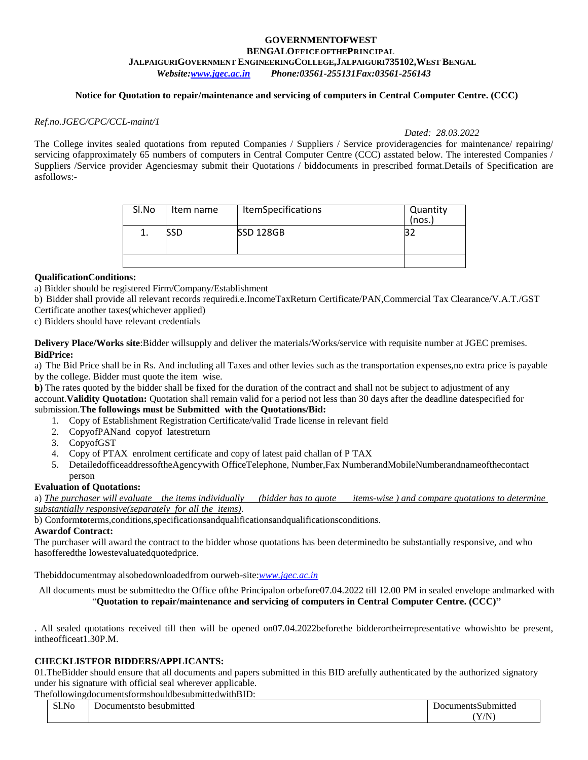## **GOVERNMENTOFWEST BENGALOFFICEOFTHEPRINCIPAL JALPAIGURIGOVERNMENT ENGINEERINGCOLLEGE,JALPAIGURI735102,WEST BENGAL** *Website[:www.jgec.ac.in](http://www.jgec.ac.in/) Phone:03561-255131Fax:03561-256143*

#### **Notice for Quotation to repair/maintenance and servicing of computers in Central Computer Centre. (CCC)**

#### *Ref.no.JGEC/CPC/CCL-maint/1*

*Dated: 28.03.2022*

The College invites sealed quotations from reputed Companies / Suppliers / Service provideragencies for maintenance/ repairing/ servicing of approximately 65 numbers of computers in Central Computer Centre (CCC) asstated below. The interested Companies / Suppliers /Service provider Agenciesmay submit their Quotations / biddocuments in prescribed format.Details of Specification are asfollows:-

| Sl.No | Item name | <b>ItemSpecifications</b> | Quantity<br>(nos. |
|-------|-----------|---------------------------|-------------------|
|       |           | <b>SSD 128GB</b>          |                   |
|       |           |                           |                   |

#### **QualificationConditions:**

a) Bidder should be registered Firm/Company/Establishment

b) Bidder shall provide all relevant records requiredi.e.IncomeTaxReturn Certificate/PAN,Commercial Tax Clearance/V.A.T./GST

Certificate another taxes(whichever applied)

c) Bidders should have relevant credentials

**Delivery Place/Works site**:Bidder willsupply and deliver the materials/Works/service with requisite number at JGEC premises. **BidPrice:**

a) The Bid Price shall be in Rs. And including all Taxes and other levies such as the transportation expenses,no extra price is payable by the college. Bidder must quote the item wise.

**b**) The rates quoted by the bidder shall be fixed for the duration of the contract and shall not be subject to adjustment of any account.**Validity Quotation:** Quotation shall remain valid for a period not less than 30 days after the deadline datespecified for submission.**The followings must be Submitted with the Quotations/Bid:**

- 1. Copy of Establishment Registration Certificate/valid Trade license in relevant field
- 2. CopyofPANand copyof latestreturn
- 3. CopyofGST
- 4. Copy of PTAX enrolment certificate and copy of latest paid challan of P TAX
- 5. DetailedofficeaddressoftheAgencywith OfficeTelephone, Number,Fax NumberandMobileNumberandnameofthecontact person

#### **Evaluation of Quotations:**

a) *The purchaser will evaluate the items individually (bidder has to quote items-wise ) and compare quotations to determine substantially responsive(separately for all the items)*.

b) Conform**to**terms,conditions,specificationsandqualificationsandqualificationsconditions.

#### **Awardof Contract:**

The purchaser will award the contract to the bidder whose quotations has been determinedto be substantially responsive, and who hasofferedthe lowestevaluatedquotedprice.

Thebiddocumentmay alsobedownloadedfrom ourweb-site:*[www.jgec.ac.in](http://www.jgec.ac.in/)*

All documents must be submittedto the Office ofthe Principalon orbefore07.04.2022 till 12.00 PM in sealed envelope andmarked with "**Quotation to repair/maintenance and servicing of computers in Central Computer Centre. (CCC)"**

. All sealed quotations received till then will be opened on07.04.2022beforethe bidderortheirrepresentative whowishto be present, intheofficeat1.30P.M.

#### **CHECKLISTFOR BIDDERS/APPLICANTS:**

01.TheBidder should ensure that all documents and papers submitted in this BID arefully authenticated by the authorized signatory under his signature with official seal wherever applicable.

ThefollowingdocumentsformshouldbesubmittedwithBID:

| $C1$ $\lambda$ $\tau$<br>SLNO | besubmitted<br>Jocumentsto | Submitted<br>cuments. |
|-------------------------------|----------------------------|-----------------------|
|                               |                            | ∕ /NT<br>v<br>$+1$    |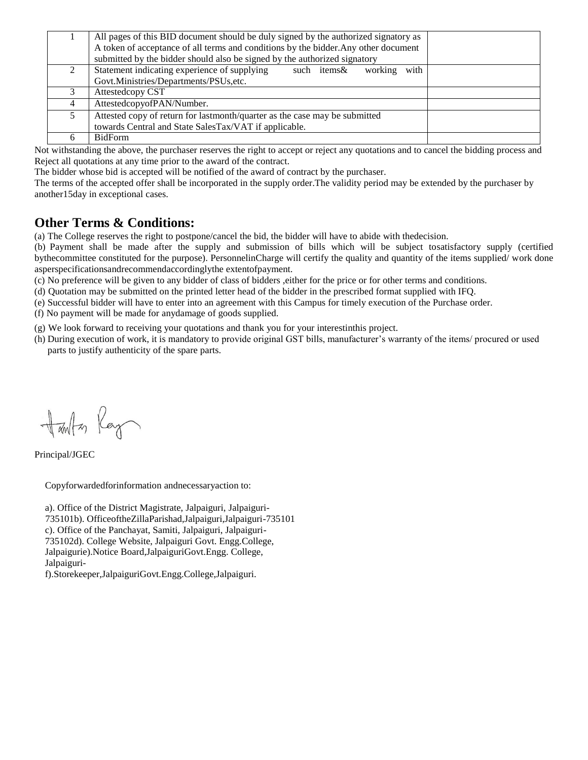|   | All pages of this BID document should be duly signed by the authorized signatory as |  |
|---|-------------------------------------------------------------------------------------|--|
|   | A token of acceptance of all terms and conditions by the bidder. Any other document |  |
|   | submitted by the bidder should also be signed by the authorized signatory           |  |
|   | Statement indicating experience of supplying<br>with<br>such items&<br>working      |  |
|   | Govt.Ministries/Departments/PSUs,etc.                                               |  |
|   | Attestedcopy CST                                                                    |  |
| 4 | AttestedcopyofPAN/Number.                                                           |  |
|   | Attested copy of return for lastmonth/quarter as the case may be submitted          |  |
|   | towards Central and State SalesTax/VAT if applicable.                               |  |
|   | <b>BidForm</b>                                                                      |  |

Not withstanding the above, the purchaser reserves the right to accept or reject any quotations and to cancel the bidding process and Reject all quotations at any time prior to the award of the contract.

The bidder whose bid is accepted will be notified of the award of contract by the purchaser.

The terms of the accepted offer shall be incorporated in the supply order.The validity period may be extended by the purchaser by another15day in exceptional cases.

# **Other Terms & Conditions:**

(a) The College reserves the right to postpone/cancel the bid, the bidder will have to abide with thedecision.

(b) Payment shall be made after the supply and submission of bills which will be subject tosatisfactory supply (certified bythecommittee constituted for the purpose). PersonnelinCharge will certify the quality and quantity of the items supplied/ work done asperspecificationsandrecommendaccordinglythe extentofpayment.

(c) No preference will be given to any bidder of class of bidders ,either for the price or for other terms and conditions.

(d) Quotation may be submitted on the printed letter head of the bidder in the prescribed format supplied with IFQ.

(e) Successful bidder will have to enter into an agreement with this Campus for timely execution of the Purchase order.

(f) No payment will be made for anydamage of goods supplied.

(g) We look forward to receiving your quotations and thank you for your interestinthis project.

(h) During execution of work, it is mandatory to provide original GST bills, manufacturer's warranty of the items/ procured or used parts to justify authenticity of the spare parts.

Harton Ray

Principal/JGEC

Copyforwardedforinformation andnecessaryaction to:

a). Office of the District Magistrate, Jalpaiguri, Jalpaiguri-735101b). OfficeoftheZillaParishad,Jalpaiguri,Jalpaiguri-735101 c). Office of the Panchayat, Samiti, Jalpaiguri, Jalpaiguri-735102d). College Website, Jalpaiguri Govt. Engg.College, Jalpaigurie).Notice Board,JalpaiguriGovt.Engg. College, Jalpaiguri-

f).Storekeeper,JalpaiguriGovt.Engg.College,Jalpaiguri.